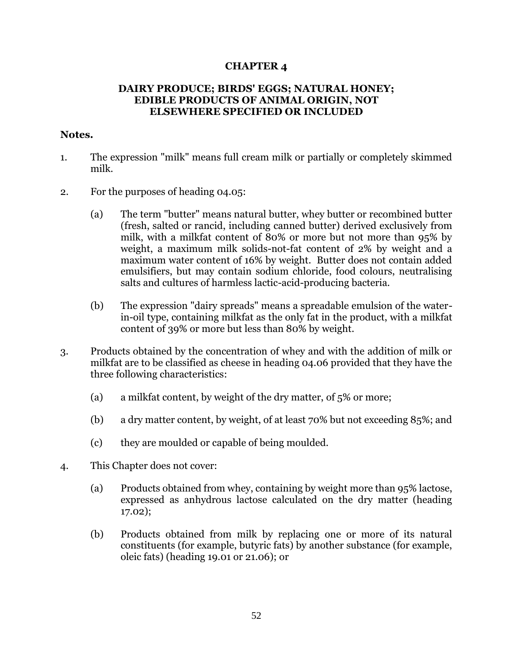## **CHAPTER 4**

## **DAIRY PRODUCE; BIRDS' EGGS; NATURAL HONEY; EDIBLE PRODUCTS OF ANIMAL ORIGIN, NOT ELSEWHERE SPECIFIED OR INCLUDED**

## **Notes.**

- 1. The expression "milk" means full cream milk or partially or completely skimmed milk.
- 2. For the purposes of heading 04.05:
	- (a) The term "butter" means natural butter, whey butter or recombined butter (fresh, salted or rancid, including canned butter) derived exclusively from milk, with a milkfat content of 80% or more but not more than 95% by weight, a maximum milk solids-not-fat content of 2% by weight and a maximum water content of 16% by weight. Butter does not contain added emulsifiers, but may contain sodium chloride, food colours, neutralising salts and cultures of harmless lactic-acid-producing bacteria.
	- (b) The expression "dairy spreads" means a spreadable emulsion of the waterin-oil type, containing milkfat as the only fat in the product, with a milkfat content of 39% or more but less than 80% by weight.
- 3. Products obtained by the concentration of whey and with the addition of milk or milkfat are to be classified as cheese in heading 04.06 provided that they have the three following characteristics:
	- (a) a milkfat content, by weight of the dry matter, of 5% or more;
	- (b) a dry matter content, by weight, of at least 70% but not exceeding 85%; and
	- (c) they are moulded or capable of being moulded.
- 4. This Chapter does not cover:
	- (a) Products obtained from whey, containing by weight more than 95% lactose, expressed as anhydrous lactose calculated on the dry matter (heading 17.02);
	- (b) Products obtained from milk by replacing one or more of its natural constituents (for example, butyric fats) by another substance (for example, oleic fats) (heading 19.01 or 21.06); or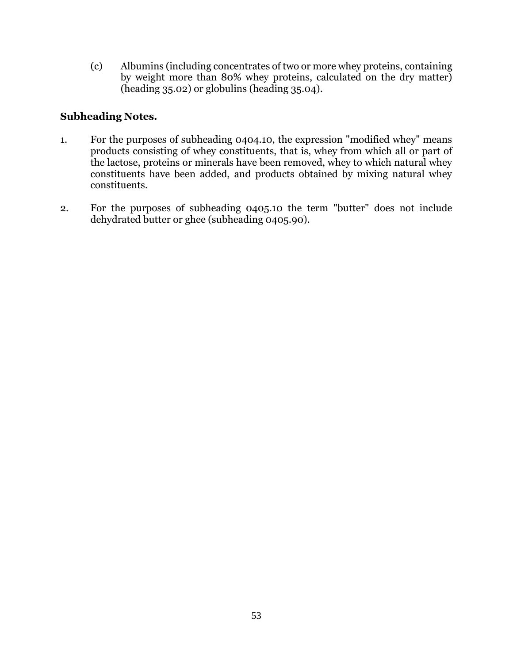(c) Albumins (including concentrates of two or more whey proteins, containing by weight more than 80% whey proteins, calculated on the dry matter) (heading 35.02) or globulins (heading 35.04).

## **Subheading Notes.**

- 1. For the purposes of subheading 0404.10, the expression "modified whey" means products consisting of whey constituents, that is, whey from which all or part of the lactose, proteins or minerals have been removed, whey to which natural whey constituents have been added, and products obtained by mixing natural whey constituents.
- 2. For the purposes of subheading 0405.10 the term "butter" does not include dehydrated butter or ghee (subheading 0405.90).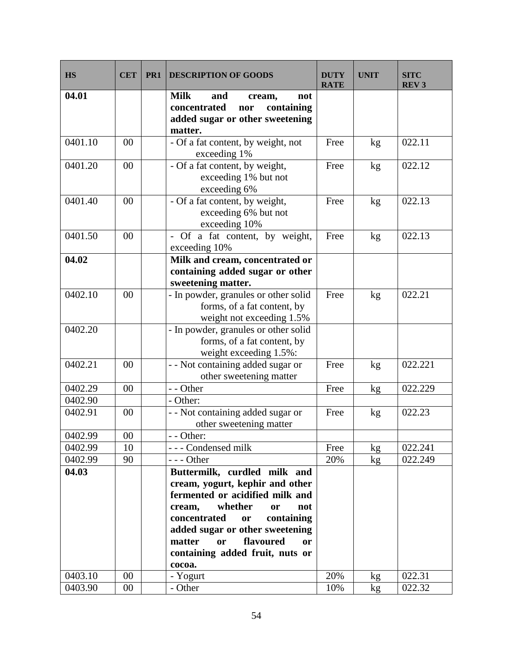| <b>HS</b> | <b>CET</b> | PR <sub>1</sub> | <b>DESCRIPTION OF GOODS</b>                                                                                                                                                                                                                                                                        | <b>DUTY</b><br><b>RATE</b> | <b>UNIT</b> | <b>SITC</b><br>REV <sub>3</sub> |
|-----------|------------|-----------------|----------------------------------------------------------------------------------------------------------------------------------------------------------------------------------------------------------------------------------------------------------------------------------------------------|----------------------------|-------------|---------------------------------|
| 04.01     |            |                 | <b>Milk</b><br>and<br>not<br>cream,<br>concentrated<br>containing<br>nor<br>added sugar or other sweetening<br>matter.                                                                                                                                                                             |                            |             |                                 |
| 0401.10   | 00         |                 | - Of a fat content, by weight, not<br>exceeding 1%                                                                                                                                                                                                                                                 | Free                       | kg          | 022.11                          |
| 0401.20   | 00         |                 | - Of a fat content, by weight,<br>exceeding 1% but not<br>exceeding 6%                                                                                                                                                                                                                             | Free                       | kg          | 022.12                          |
| 0401.40   | 00         |                 | - Of a fat content, by weight,<br>exceeding 6% but not<br>exceeding 10%                                                                                                                                                                                                                            | Free                       | kg          | 022.13                          |
| 0401.50   | 00         |                 | Of a fat content, by weight,<br>exceeding 10%                                                                                                                                                                                                                                                      | Free                       | kg          | 022.13                          |
| 04.02     |            |                 | Milk and cream, concentrated or<br>containing added sugar or other<br>sweetening matter.                                                                                                                                                                                                           |                            |             |                                 |
| 0402.10   | 00         |                 | - In powder, granules or other solid<br>forms, of a fat content, by<br>weight not exceeding 1.5%                                                                                                                                                                                                   | Free                       | kg          | 022.21                          |
| 0402.20   |            |                 | - In powder, granules or other solid<br>forms, of a fat content, by<br>weight exceeding 1.5%:                                                                                                                                                                                                      |                            |             |                                 |
| 0402.21   | 00         |                 | - - Not containing added sugar or<br>other sweetening matter                                                                                                                                                                                                                                       | Free                       | kg          | 022.221                         |
| 0402.29   | 00         |                 | - - Other                                                                                                                                                                                                                                                                                          | Free                       | kg          | 022.229                         |
| 0402.90   |            |                 | - Other:                                                                                                                                                                                                                                                                                           |                            |             |                                 |
| 0402.91   | 00         |                 | - - Not containing added sugar or<br>other sweetening matter                                                                                                                                                                                                                                       | Free                       | kg          | 022.23                          |
| 0402.99   | $00\,$     |                 | Other:                                                                                                                                                                                                                                                                                             |                            |             |                                 |
| 0402.99   | 10         |                 | --- Condensed milk                                                                                                                                                                                                                                                                                 | Free                       | kg          | 022.241                         |
| 0402.99   | 90         |                 | $--$ Other                                                                                                                                                                                                                                                                                         | 20%                        | kg          | 022.249                         |
| 04.03     |            |                 | Buttermilk, curdled milk and<br>cream, yogurt, kephir and other<br>fermented or acidified milk and<br>whether<br>cream,<br><b>or</b><br>not<br>concentrated<br>containing<br>or<br>added sugar or other sweetening<br>flavoured<br>matter<br>or<br>or<br>containing added fruit, nuts or<br>cocoa. |                            |             |                                 |
| 0403.10   | 00         |                 | - Yogurt                                                                                                                                                                                                                                                                                           | 20%                        | kg          | 022.31                          |
| 0403.90   | $00\,$     |                 | - Other                                                                                                                                                                                                                                                                                            | 10%                        | kg          | 022.32                          |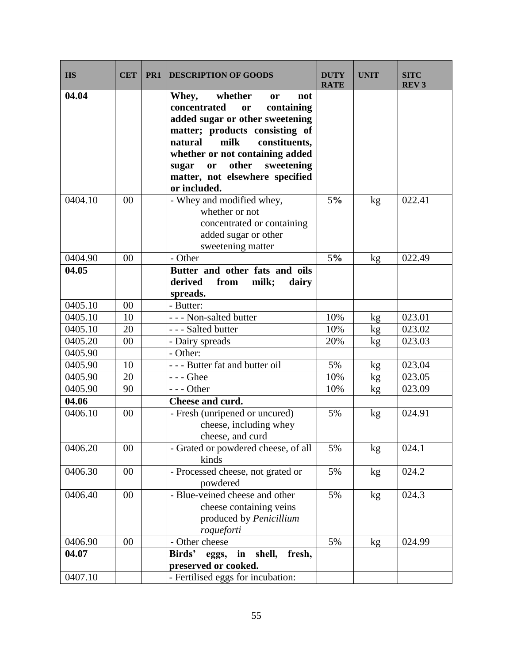| <b>HS</b> | <b>CET</b> | PR1 | <b>DESCRIPTION OF GOODS</b>                                                                                                                                                                                                                                                                                       | <b>DUTY</b><br><b>RATE</b> | <b>UNIT</b> | <b>SITC</b><br><b>REV3</b> |
|-----------|------------|-----|-------------------------------------------------------------------------------------------------------------------------------------------------------------------------------------------------------------------------------------------------------------------------------------------------------------------|----------------------------|-------------|----------------------------|
| 04.04     |            |     | whether<br>Whey,<br>not<br><sub>or</sub><br>concentrated<br>containing<br>or<br>added sugar or other sweetening<br>matter; products consisting of<br>milk<br>natural<br>constituents,<br>whether or not containing added<br>other<br>sweetening<br>sugar<br>or<br>matter, not elsewhere specified<br>or included. |                            |             |                            |
| 0404.10   | 00         |     | - Whey and modified whey,<br>whether or not<br>concentrated or containing<br>added sugar or other<br>sweetening matter                                                                                                                                                                                            | 5%                         | kg          | 022.41                     |
| 0404.90   | 00         |     | - Other                                                                                                                                                                                                                                                                                                           | 5%                         | kg          | 022.49                     |
| 04.05     |            |     | Butter and other fats and oils<br>from<br>derived<br>milk;<br>dairy<br>spreads.                                                                                                                                                                                                                                   |                            |             |                            |
| 0405.10   | 00         |     | - Butter:                                                                                                                                                                                                                                                                                                         |                            |             |                            |
| 0405.10   | 10         |     | - - - Non-salted butter                                                                                                                                                                                                                                                                                           | 10%                        | kg          | 023.01                     |
| 0405.10   | 20         |     | - - - Salted butter                                                                                                                                                                                                                                                                                               | 10%                        | kg          | 023.02                     |
| 0405.20   | 00         |     | - Dairy spreads                                                                                                                                                                                                                                                                                                   | 20%                        | kg          | 023.03                     |
| 0405.90   |            |     | - Other:                                                                                                                                                                                                                                                                                                          |                            |             |                            |
| 0405.90   | 10         |     | --- Butter fat and butter oil                                                                                                                                                                                                                                                                                     | 5%                         | kg          | 023.04                     |
| 0405.90   | 20         |     | - - - Ghee                                                                                                                                                                                                                                                                                                        | 10%                        | kg          | 023.05                     |
| 0405.90   | 90         |     | $--$ Other                                                                                                                                                                                                                                                                                                        | 10%                        | kg          | 023.09                     |
| 04.06     |            |     | Cheese and curd.                                                                                                                                                                                                                                                                                                  |                            |             |                            |
| 0406.10   | 00         |     | - Fresh (unripened or uncured)<br>cheese, including whey<br>cheese, and curd                                                                                                                                                                                                                                      | 5%                         | kg          | 024.91                     |
| 0406.20   | 00         |     | - Grated or powdered cheese, of all<br>kinds                                                                                                                                                                                                                                                                      | 5%                         | kg          | 024.1                      |
| 0406.30   | 00         |     | - Processed cheese, not grated or<br>powdered                                                                                                                                                                                                                                                                     | 5%                         | kg          | 024.2                      |
| 0406.40   | $00\,$     |     | - Blue-veined cheese and other<br>cheese containing veins<br>produced by Penicillium<br>roqueforti                                                                                                                                                                                                                | 5%                         | kg          | 024.3                      |
| 0406.90   | 00         |     | - Other cheese                                                                                                                                                                                                                                                                                                    | 5%                         | kg          | 024.99                     |
| 04.07     |            |     | in shell,<br>fresh,<br>Birds'<br>eggs,<br>preserved or cooked.                                                                                                                                                                                                                                                    |                            |             |                            |
| 0407.10   |            |     | - Fertilised eggs for incubation:                                                                                                                                                                                                                                                                                 |                            |             |                            |